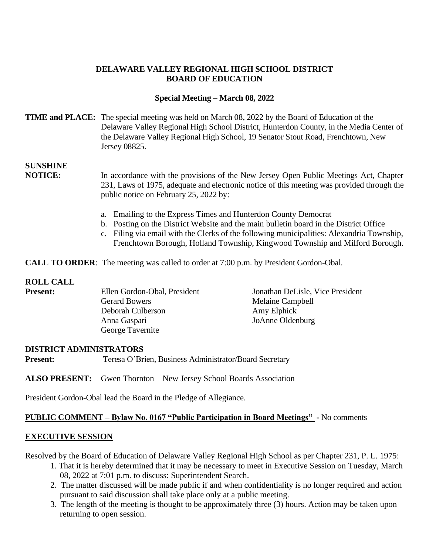## **DELAWARE VALLEY REGIONAL HIGH SCHOOL DISTRICT BOARD OF EDUCATION**

## **Special Meeting – March 08, 2022**

## **TIME and PLACE:** The special meeting was held on March 08, 2022 by the Board of Education of the Delaware Valley Regional High School District, Hunterdon County, in the Media Center of the Delaware Valley Regional High School, 19 Senator Stout Road, Frenchtown, New Jersey 08825.

# **SUNSHINE**

**NOTICE:** In accordance with the provisions of the New Jersey Open Public Meetings Act, Chapter 231, Laws of 1975, adequate and electronic notice of this meeting was provided through the public notice on February 25, 2022 by:

- a. Emailing to the Express Times and Hunterdon County Democrat
- b. Posting on the District Website and the main bulletin board in the District Office
- c. Filing via email with the Clerks of the following municipalities: Alexandria Township, Frenchtown Borough, Holland Township, Kingwood Township and Milford Borough.

**CALL TO ORDER:** The meeting was called to order at 7:00 p.m. by President Gordon-Obal.

#### **ROLL CALL**

| <b>Present:</b> | Ellen Gordon-Obal, President | Jonathan DeLisle, Vice President |
|-----------------|------------------------------|----------------------------------|
|                 | <b>Gerard Bowers</b>         | Melaine Campbell                 |
|                 | Deborah Culberson            | Amy Elphick                      |
|                 | Anna Gaspari                 | JoAnne Oldenburg                 |
|                 | George Tavernite             |                                  |

#### **DISTRICT ADMINISTRATORS**

**Present:** Teresa O'Brien, Business Administrator/Board Secretary

**ALSO PRESENT:** Gwen Thornton – New Jersey School Boards Association

President Gordon-Obal lead the Board in the Pledge of Allegiance.

#### **PUBLIC COMMENT – Bylaw No. 0167 "Public Participation in Board Meetings" -** No comments

#### **EXECUTIVE SESSION**

Resolved by the Board of Education of Delaware Valley Regional High School as per Chapter 231, P. L. 1975:

- 1. That it is hereby determined that it may be necessary to meet in Executive Session on Tuesday, March 08, 2022 at 7:01 p.m. to discuss: Superintendent Search.
- 2. The matter discussed will be made public if and when confidentiality is no longer required and action pursuant to said discussion shall take place only at a public meeting.
- 3. The length of the meeting is thought to be approximately three (3) hours. Action may be taken upon returning to open session.